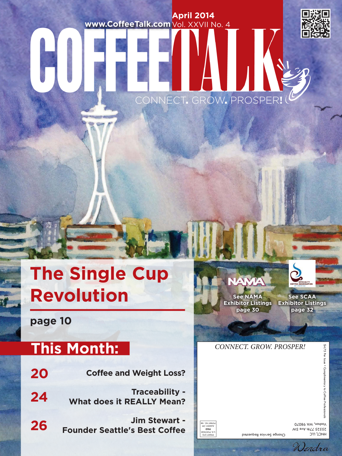# **April 2014** www.CoffeeTalk.com Vol. XXVII No. 4

CONNECT. GROW. PROSPER**!**



# **The Single Cup**  Revolution **See NAMA**

**page 10**

# **This Month:**

| 20 | <b>Coffee and Weight Loss?</b>                            |
|----|-----------------------------------------------------------|
| 24 | <b>Traceability -</b><br><b>What does it REALLY Mean?</b> |
| 26 | Jim Stewart -<br><b>Founder Seattle's Best Coffee</b>     |

NAMA **Exhibitor Listings Exhibitor Listings page 30**

**See SCAA page 32**

# CONNECT. GROW. PROSPER!

\$4.75 Per  $$4.75$  Per lssue  $\bullet$  Complimentary to Coffee Professionals



HMCL**'** FTC 25525 77th Ave SW Vashon, WA 98070 Change Service Requested

Wendra